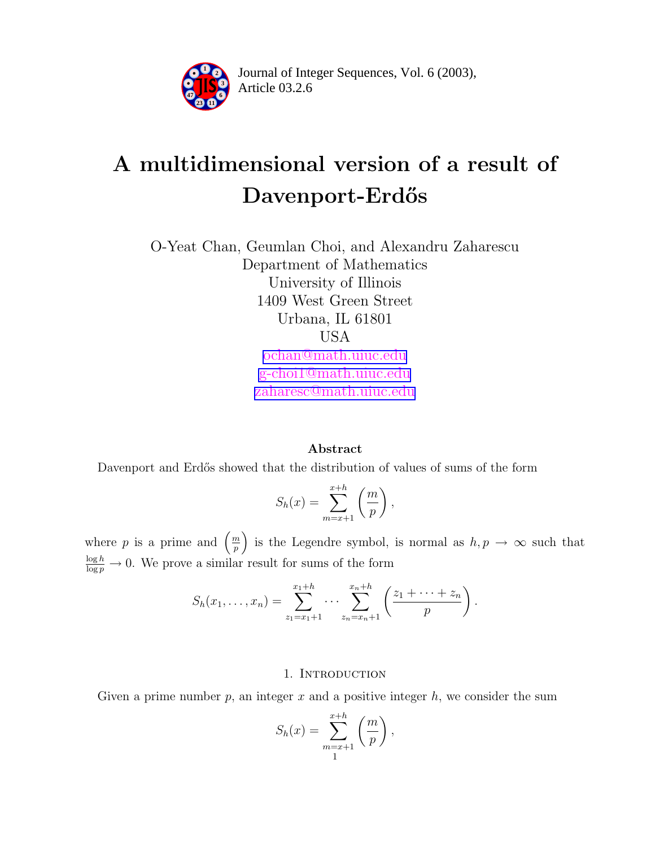

Article 03.2.6 **<sup>2</sup>** Journal of Integer Sequences, Vol. 6 (2003),

# A multidimensional version of a result of Davenport-Erdős

O-Yeat Chan, Geumlan Choi, and Alexandru Zaharescu Department of Mathematics University of Illinois 1409 West Green Street Urbana, IL 61801 USA [ochan@math.uiuc.edu](mailto:ochan@math.uiuc.edu) [g-choi1@math.uiuc.edu](mailto:g-choi1@math.uiuc.edu) [zaharesc@math.uiuc.edu](mailto:zaharesc@math.uiuc.edu)

# Abstract

Davenport and Erdős showed that the distribution of values of sums of the form

$$
S_h(x) = \sum_{m=x+1}^{x+h} \left(\frac{m}{p}\right),
$$

where p is a prime and  $\left(\frac{m}{n}\right)$  $\left(\frac{m}{p}\right)$  is the Legendre symbol, is normal as  $h, p \to \infty$  such that  $\frac{\log h}{\log p} \to 0$ . We prove a similar result for sums of the form

$$
S_h(x_1,...,x_n) = \sum_{z_1=x_1+1}^{x_1+h} \cdots \sum_{z_n=x_n+1}^{x_n+h} \left( \frac{z_1 + \cdots + z_n}{p} \right).
$$

# 1. INTRODUCTION

Given a prime number  $p$ , an integer  $x$  and a positive integer  $h$ , we consider the sum

$$
S_h(x) = \sum_{\substack{m=x+1\\1}}^{x+h} \left(\frac{m}{p}\right),
$$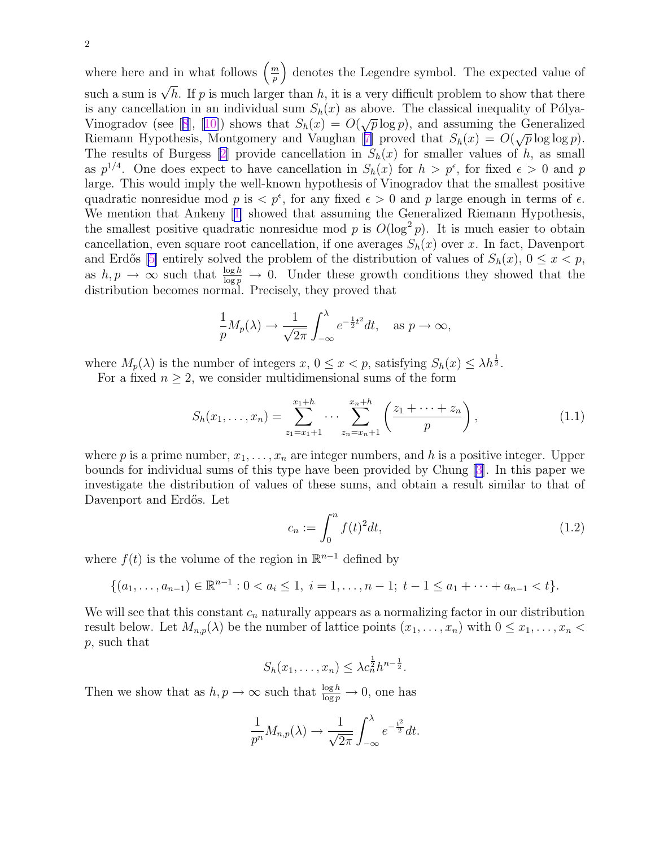<span id="page-1-0"></span>where here and in what follows  $\left(\frac{m}{n}\right)$  $\left(\frac{m}{p}\right)$  denotes the Legendre symbol. The expected value of such a sum is  $\sqrt{h}$ . If p is much larger than h, it is a very difficult problem to show that there is any cancellation in an individual sum  $S_h(x)$  as above. The classical inequality of Pólya-Vinogradov (see [[8](#page-8-0)], [[10\]](#page-8-0)) shows that  $S_h(x) = O(\sqrt{p} \log p)$ , and assuming the Generalized Riemann Hypothesis, Montgomery and Vaughan [[7\]](#page-8-0) proved that  $S_h(x) = O(\sqrt{p} \log \log p)$ . The results of Burgess [[2\]](#page-8-0) provide cancellation in  $S_h(x)$  for smaller values of h, as small as  $p^{1/4}$ . One does expect to have cancellation in  $S_h(x)$  for  $h > p^{\epsilon}$ , for fixed  $\epsilon > 0$  and p large. This would imply the well-known hypothesis of Vinogradov that the smallest positive quadratic nonresidue mod p is  $\langle p^{\epsilon}, p^{\epsilon} \rangle$  for any fixed  $\epsilon > 0$  and p large enough in terms of  $\epsilon$ . We mention that Ankeny [[1\]](#page-8-0) showed that assuming the Generalized Riemann Hypothesis, the smallest positive quadratic nonresidue mod p is  $O(\log^2 p)$ . It is much easier to obtain cancellation, even square root cancellation, if one averages  $S_h(x)$  over x. In fact, Davenport and Erdős [\[5\]](#page-8-0) entirely solved the problem of the distribution of values of  $S_h(x)$ ,  $0 \le x < p$ , as  $h, p \to \infty$  such that  $\frac{\log h}{\log p} \to 0$ . Under these growth conditions they showed that the distribution becomes normal. Precisely, they proved that

$$
\frac{1}{p}M_p(\lambda) \to \frac{1}{\sqrt{2\pi}} \int_{-\infty}^{\lambda} e^{-\frac{1}{2}t^2} dt, \text{ as } p \to \infty,
$$

where  $M_p(\lambda)$  is the number of integers  $x, 0 \le x < p$ , satisfying  $S_h(x) \le \lambda h^{\frac{1}{2}}$ .

For a fixed  $n \geq 2$ , we consider multidimensional sums of the form

$$
S_h(x_1,\ldots,x_n) = \sum_{z_1=x_1+1}^{x_1+h} \cdots \sum_{z_n=x_n+1}^{x_n+h} \left(\frac{z_1+\cdots+z_n}{p}\right),\tag{1.1}
$$

where p is a prime number,  $x_1, \ldots, x_n$  are integer numbers, and h is a positive integer. Upper bounds for individual sums of this type have been provided by Chung [\[3](#page-8-0)]. In this paper we investigate the distribution of values of these sums, and obtain a result similar to that of Davenport and Erdős. Let

$$
c_n := \int_0^n f(t)^2 dt,
$$
\n(1.2)

where  $f(t)$  is the volume of the region in  $\mathbb{R}^{n-1}$  defined by

$$
\{(a_1,\ldots,a_{n-1})\in\mathbb{R}^{n-1}:0
$$

We will see that this constant  $c_n$  naturally appears as a normalizing factor in our distribution result below. Let  $M_{n,p}(\lambda)$  be the number of lattice points  $(x_1, \ldots, x_n)$  with  $0 \leq x_1, \ldots, x_n <$ p, such that

$$
S_h(x_1,\ldots,x_n)\leq \lambda c_n^{\frac{1}{2}}h^{n-\frac{1}{2}}.
$$

Then we show that as  $h, p \to \infty$  such that  $\frac{\log h}{\log p} \to 0$ , one has

$$
\frac{1}{p^n} M_{n,p}(\lambda) \to \frac{1}{\sqrt{2\pi}} \int_{-\infty}^{\lambda} e^{-\frac{t^2}{2}} dt.
$$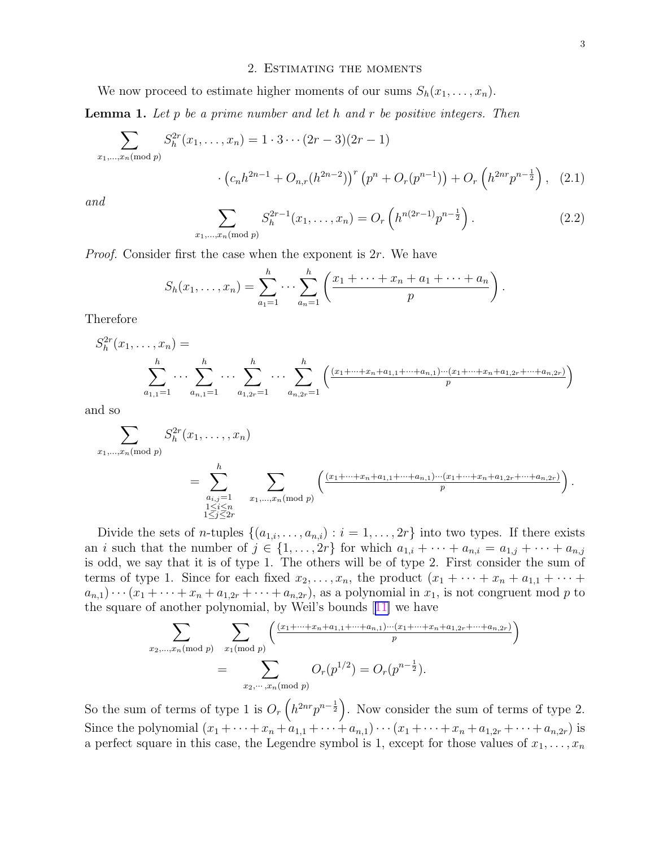## 2. Estimating the moments

<span id="page-2-0"></span>We now proceed to estimate higher moments of our sums  $S_h(x_1, \ldots, x_n)$ .

**Lemma 1.** Let p be a prime number and let h and r be positive integers. Then

$$
\sum_{x_1,\dots,x_n \text{ (mod } p)} S_h^{2r}(x_1,\dots,x_n) = 1 \cdot 3 \cdots (2r-3)(2r-1)
$$

$$
\cdot \left( c_n h^{2n-1} + O_{n,r}(h^{2n-2}) \right)^r \left( p^n + O_r(p^{n-1}) \right) + O_r\left( h^{2nr} p^{n-\frac{1}{2}} \right), \tag{2.1}
$$

and

$$
\sum_{x_1,\dots,x_n \pmod{p}} S_h^{2r-1}(x_1,\dots,x_n) = O_r\left(h^{n(2r-1)}p^{n-\frac{1}{2}}\right).
$$
 (2.2)

Proof. Consider first the case when the exponent is 2r. We have

$$
S_h(x_1,...,x_n) = \sum_{a_1=1}^h \cdots \sum_{a_n=1}^h \left( \frac{x_1 + \cdots + x_n + a_1 + \cdots + a_n}{p} \right)
$$

Therefore

$$
S_h^{2r}(x_1, \ldots, x_n) = \sum_{a_{1,1}=1}^h \cdots \sum_{a_{n,1}=1}^h \cdots \sum_{a_{1,2r}=1}^h \cdots \sum_{a_{n,2r}=1}^h \left( \frac{(x_1 + \cdots + x_n + a_{1,1} + \cdots + a_{n,1}) \cdots (x_1 + \cdots + x_n + a_{1,2r} + \cdots + a_{n,2r})}{p} \right)
$$

and so

$$
\sum_{\substack{x_1,\dots,x_n \pmod{p} \\ x_1,\dots,x_n \pmod{p} \\ 1 \le i \le n \\ 1 \le j \le 2r}} S_h^{2r}(x_1,\dots,x_n)
$$
\n
$$
= \sum_{\substack{a_{i,j}=1 \\ 1 \le i \le n \\ 1 \le j \le 2r}}^{h} \sum_{x_1,\dots,x_n \pmod{p}} \left( \frac{(x_1 + \dots + x_n + a_{1,1} + \dots + a_{n,1}) \dots (x_1 + \dots + x_n + a_{1,2r} + \dots + a_{n,2r})}{p} \right).
$$

Divide the sets of *n*-tuples  $\{(a_{1,i},\ldots,a_{n,i}): i=1,\ldots,2r\}$  into two types. If there exists an i such that the number of  $j \in \{1, \ldots, 2r\}$  for which  $a_{1,i} + \cdots + a_{n,i} = a_{1,j} + \cdots + a_{n,j}$ is odd, we say that it is of type 1. The others will be of type 2. First consider the sum of terms of type 1. Since for each fixed  $x_2, \ldots, x_n$ , the product  $(x_1 + \cdots + x_n + a_{1,1} + \cdots + a_{n,n})$  $a_{n,1})\cdots(x_1+\cdots+x_n+a_{1,2r}+\cdots+a_{n,2r}),$  as a polynomial in  $x_1$ , is not congruent mod p to the square of another polynomial, by Weil's bounds [[11\]](#page-8-0) we have

$$
\sum_{x_2,\dots,x_n \text{ (mod } p} \sum_{x_1 \text{ (mod } p)} \left( \frac{(x_1 + \dots + x_n + a_{1,1} + \dots + a_{n,1}) \dots (x_1 + \dots + x_n + a_{1,2r} + \dots + a_{n,2r})}{p} \right)
$$
\n
$$
= \sum_{x_2,\dots,x_n \text{ (mod } p)} O_r(p^{1/2}) = O_r(p^{n-\frac{1}{2}}).
$$

So the sum of terms of type 1 is  $O_r(n^{2nr}p^{n-\frac{1}{2}})$ . Now consider the sum of terms of type 2. Since the polynomial  $(x_1 + \cdots + x_n + a_{1,1} + \cdots + a_{n,1}) \cdots (x_1 + \cdots + x_n + a_{1,2r} + \cdots + a_{n,2r})$  is a perfect square in this case, the Legendre symbol is 1, except for those values of  $x_1, \ldots, x_n$ 

.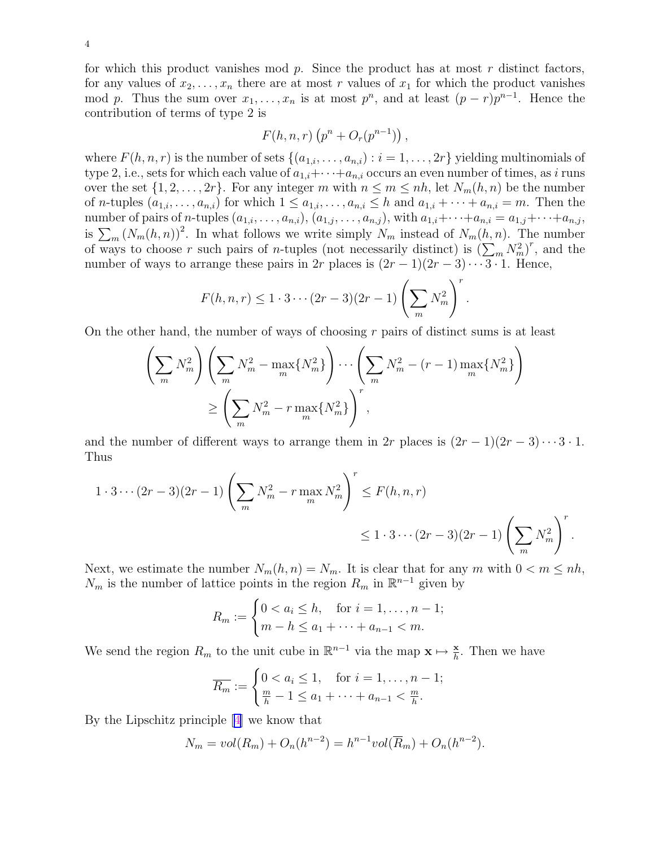for which this product vanishes mod  $p$ . Since the product has at most  $r$  distinct factors, for any values of  $x_2, \ldots, x_n$  there are at most r values of  $x_1$  for which the product vanishes mod p. Thus the sum over  $x_1, \ldots, x_n$  is at most  $p^n$ , and at least  $(p-r)p^{n-1}$ . Hence the contribution of terms of type 2 is

$$
F(h, n, r) (pn + Or(pn-1)),
$$

where  $F(h, n, r)$  is the number of sets  $\{(a_{1,i}, \ldots, a_{n,i}) : i = 1, \ldots, 2r\}$  yielding multinomials of type 2, i.e., sets for which each value of  $a_{1,i} + \cdots + a_{n,i}$  occurs an even number of times, as i runs over the set  $\{1, 2, ..., 2r\}$ . For any integer m with  $n \leq m \leq nh$ , let  $N_m(h, n)$  be the number of *n*-tuples  $(a_{1,i},\ldots,a_{n,i})$  for which  $1 \leq a_{1,i},\ldots,a_{n,i} \leq h$  and  $a_{1,i} + \cdots + a_{n,i} = m$ . Then the number of pairs of n-tuples  $(a_{1,i},\ldots,a_{n,i}), (a_{1,j},\ldots,a_{n,j}),$  with  $a_{1,i}+\cdots+a_{n,i}=a_{1,j}+\cdots+a_{n,j}$ , is  $\sum_m (N_m(h,n))^2$ . In what follows we write simply  $N_m$  instead of  $N_m(h,n)$ . The number of ways to choose r such pairs of *n*-tuples (not necessarily distinct) is  $(\sum_{m} N_m^2)^r$ , and the number of ways to arrange these pairs in 2r places is  $(2r-1)(2r-3)\cdots 3 \cdot 1$ . Hence,

$$
F(h,n,r) \leq 1 \cdot 3 \cdots (2r-3)(2r-1) \left(\sum_{m} N_m^2\right)^r.
$$

On the other hand, the number of ways of choosing  $r$  pairs of distinct sums is at least

$$
\left(\sum_{m} N_m^2\right) \left(\sum_{m} N_m^2 - \max_{m} \{N_m^2\}\right) \cdots \left(\sum_{m} N_m^2 - (r-1) \max_{m} \{N_m^2\}\right)
$$

$$
\ge \left(\sum_{m} N_m^2 - r \max_{m} \{N_m^2\}\right)^r,
$$

and the number of different ways to arrange them in 2r places is  $(2r-1)(2r-3)\cdots 3 \cdot 1$ . Thus

$$
1 \cdot 3 \cdots (2r-3)(2r-1) \left(\sum_{m} N_m^2 - r \max_{m} N_m^2\right)^r \le F(h, n, r)
$$
  

$$
\le 1 \cdot 3 \cdots (2r-3)(2r-1) \left(\sum_{m} N_m^2\right)^r.
$$

Next, we estimate the number  $N_m(h, n) = N_m$ . It is clear that for any m with  $0 < m \le nh$ ,  $N_m$  is the number of lattice points in the region  $R_m$  in  $\mathbb{R}^{n-1}$  given by

$$
R_m := \begin{cases} 0 < a_i \leq h, \quad \text{for } i = 1, \dots, n-1; \\ m - h < a_1 + \dots + a_{n-1} < m. \end{cases}
$$

We send the region  $R_m$  to the unit cube in  $\mathbb{R}^{n-1}$  via the map  $\mathbf{x} \mapsto \frac{\mathbf{x}}{h}$ . Then we have

$$
\overline{R_m} := \begin{cases} 0 < a_i \leq 1, \quad \text{for } i = 1, \dots, n-1; \\ \frac{m}{h} - 1 < a_1 + \dots + a_{n-1} < \frac{m}{h}. \end{cases}
$$

By the Lipschitz principle [[4\]](#page-8-0) we know that

$$
N_m = vol(R_m) + O_n(h^{n-2}) = h^{n-1}vol(\overline{R}_m) + O_n(h^{n-2}).
$$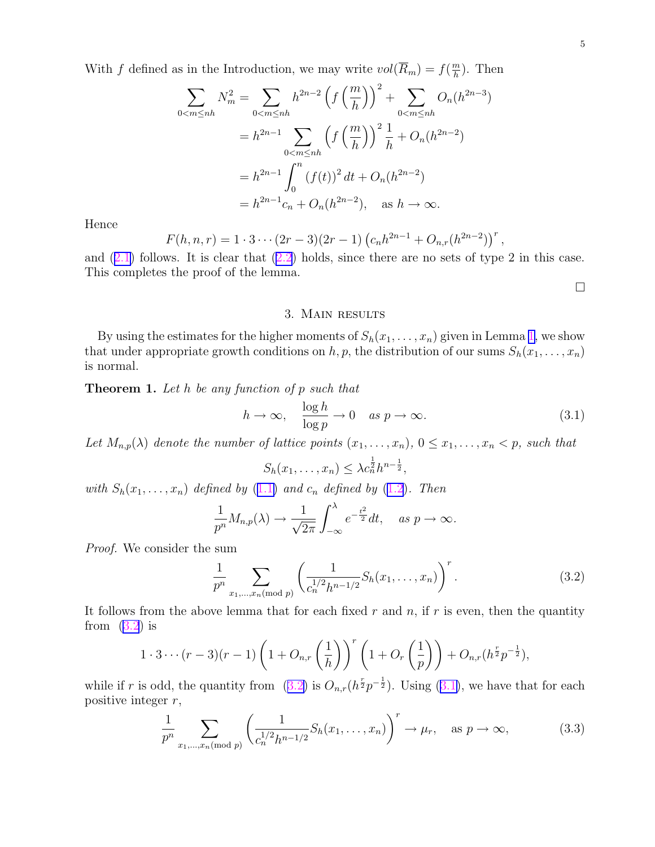<span id="page-4-0"></span>With f defined as in the Introduction, we may write  $vol(\overline{R}_m) = f(\frac{m}{h})$  $\frac{m}{h}$ ). Then

$$
\sum_{0 < m \le nh} N_m^2 = \sum_{0 < m \le nh} h^{2n-2} \left( f \left( \frac{m}{h} \right) \right)^2 + \sum_{0 < m \le nh} O_n(h^{2n-3})
$$
\n
$$
= h^{2n-1} \sum_{0 < m \le nh} \left( f \left( \frac{m}{h} \right) \right)^2 \frac{1}{h} + O_n(h^{2n-2})
$$
\n
$$
= h^{2n-1} \int_0^n \left( f(t) \right)^2 dt + O_n(h^{2n-2})
$$
\n
$$
= h^{2n-1} c_n + O_n(h^{2n-2}), \quad \text{as } h \to \infty.
$$

Hence

$$
F(h, n, r) = 1 \cdot 3 \cdots (2r - 3)(2r - 1) (c_n h^{2n-1} + O_{n,r}(h^{2n-2}))^r,
$$

and  $(2.1)$  $(2.1)$  follows. It is clear that  $(2.2)$  $(2.2)$  holds, since there are no sets of type 2 in this case. This completes the proof of the lemma.

¤

### 3. Main results

By using the estimates for the higher moments of  $S_h(x_1, \ldots, x_n)$  $S_h(x_1, \ldots, x_n)$  $S_h(x_1, \ldots, x_n)$  given in Lemma 1, we show that under appropriate growth conditions on h, p, the distribution of our sums  $S_h(x_1, \ldots, x_n)$ is normal.

**Theorem 1.** Let h be any function of p such that

$$
h \to \infty, \quad \frac{\log h}{\log p} \to 0 \quad \text{as } p \to \infty. \tag{3.1}
$$

Let  $M_{n,p}(\lambda)$  denote the number of lattice points  $(x_1, \ldots, x_n)$ ,  $0 \le x_1, \ldots, x_n < p$ , such that

$$
S_h(x_1,\ldots,x_n)\leq \lambda c_n^{\frac{1}{2}}h^{n-\frac{1}{2}},
$$

with  $S_h(x_1, \ldots, x_n)$  defined by ([1.1\)](#page-1-0) and  $c_n$  defined by [\(1.2](#page-1-0)). Then

$$
\frac{1}{p^n}M_{n,p}(\lambda) \to \frac{1}{\sqrt{2\pi}}\int_{-\infty}^{\lambda}e^{-\frac{t^2}{2}}dt, \quad \text{as } p \to \infty.
$$

Proof. We consider the sum

$$
\frac{1}{p^n} \sum_{x_1, \dots, x_n \text{ (mod } p)} \left( \frac{1}{c_n^{1/2} h^{n-1/2}} S_h(x_1, \dots, x_n) \right)^r. \tag{3.2}
$$

It follows from the above lemma that for each fixed  $r$  and  $n$ , if  $r$  is even, then the quantity from  $(3.2)$  is

$$
1 \cdot 3 \cdots (r-3)(r-1) \left(1 + O_{n,r}\left(\frac{1}{h}\right)\right)^r \left(1 + O_r\left(\frac{1}{p}\right)\right) + O_{n,r}(h^{\frac{r}{2}}p^{-\frac{1}{2}}),
$$

while if r is odd, the quantity from  $(3.2)$  is  $O_{n,r}(h^{\frac{r}{2}}p^{-\frac{1}{2}})$ . Using  $(3.1)$ , we have that for each positive integer  $r$ ,

$$
\frac{1}{p^n} \sum_{x_1, \dots, x_n \text{ (mod } p} \left( \frac{1}{c_n^{1/2} h^{n-1/2}} S_h(x_1, \dots, x_n) \right)^r \to \mu_r, \text{ as } p \to \infty,
$$
 (3.3)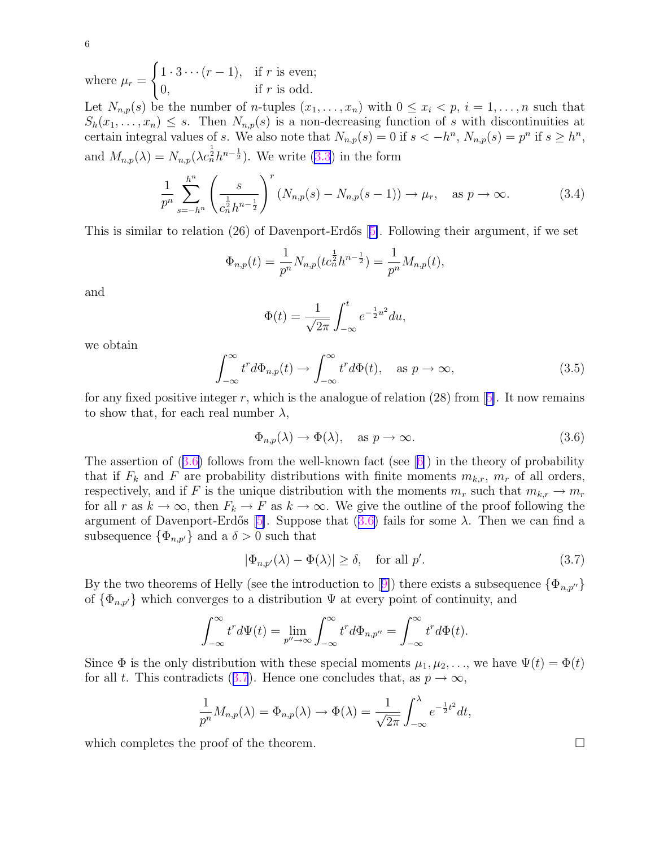where 
$$
\mu_r = \begin{cases} 1 \cdot 3 \cdots (r-1), & \text{if } r \text{ is even;} \\ 0, & \text{if } r \text{ is odd.} \end{cases}
$$
  
Let  $N_{n,p}(s)$  be the number of *n*-tuples  $(x_1, \ldots, x_n)$  with  $0 \le x_i < p, i = 1, \ldots, n$  such that  $S_h(x_1, \ldots, x_n) \le s$ . Then  $N_{n,p}(s)$  is a non-decreasing function of *s* with discontinuities at certain integral values of *s*. We also note that  $N_{n,p}(s) = 0$  if  $s < -h^n$ ,  $N_{n,p}(s) = p^n$  if  $s \ge h^n$ , and  $M_{n,p}(\lambda) = N_{n,p}(\lambda c_n^{\frac{1}{2}} h^{n-\frac{1}{2}})$ . We write (3.3) in the form

$$
\frac{1}{p^n} \sum_{s=-h^n}^{h^n} \left( \frac{s}{c_n^{\frac{1}{2}} h^{n-\frac{1}{2}}} \right)^r \left( N_{n,p}(s) - N_{n,p}(s-1) \right) \to \mu_r, \quad \text{as } p \to \infty. \tag{3.4}
$$

This is similar to relation (26) of Davenport-Erdős  $[5]$  $[5]$ . Following their argument, if we set

$$
\Phi_{n,p}(t) = \frac{1}{p^n} N_{n,p}(tc_n^{\frac{1}{2}}h^{n-\frac{1}{2}}) = \frac{1}{p^n} M_{n,p}(t),
$$

and

$$
\Phi(t) = \frac{1}{\sqrt{2\pi}} \int_{-\infty}^{t} e^{-\frac{1}{2}u^2} du,
$$

we obtain

$$
\int_{-\infty}^{\infty} t^r d\Phi_{n,p}(t) \to \int_{-\infty}^{\infty} t^r d\Phi(t), \quad \text{as } p \to \infty,
$$
\n(3.5)

for any fixed positive integer r, which is the analogue of relation  $(28)$  from [[5\]](#page-8-0). It now remains to show that, for each real number  $\lambda$ ,

$$
\Phi_{n,p}(\lambda) \to \Phi(\lambda), \quad \text{as } p \to \infty. \tag{3.6}
$$

The assertion of  $(3.6)$  follows from the well-known fact (see [[6\]](#page-8-0)) in the theory of probability that if  $F_k$  and F are probability distributions with finite moments  $m_{k,r}$ ,  $m_r$  of all orders, respectively, and if F is the unique distribution with the moments  $m_r$  such that  $m_{k,r} \to m_r$ for all r as  $k \to \infty$ , then  $F_k \to F$  as  $k \to \infty$ . We give the outline of the proof following the argument of Davenport-Erdős [[5\]](#page-8-0). Suppose that  $(3.6)$  fails for some  $\lambda$ . Then we can find a subsequence  $\{\Phi_{n,p'}\}$  and a  $\delta > 0$  such that

$$
|\Phi_{n,p'}(\lambda) - \Phi(\lambda)| \ge \delta, \quad \text{for all } p'. \tag{3.7}
$$

By the two theorems of Helly (see the introduction to [[9\]](#page-8-0)) there exists a subsequence  $\{\Phi_{n,p'}\}$ of  $\{\Phi_{n,p'}\}$  which converges to a distribution  $\Psi$  at every point of continuity, and

$$
\int_{-\infty}^{\infty} t^r d\Psi(t) = \lim_{p'' \to \infty} \int_{-\infty}^{\infty} t^r d\Phi_{n,p''} = \int_{-\infty}^{\infty} t^r d\Phi(t).
$$

Since  $\Phi$  is the only distribution with these special moments  $\mu_1, \mu_2, \ldots$ , we have  $\Psi(t) = \Phi(t)$ for all t. This contradicts (3.7). Hence one concludes that, as  $p \to \infty$ ,

$$
\frac{1}{p^n}M_{n,p}(\lambda) = \Phi_{n,p}(\lambda) \to \Phi(\lambda) = \frac{1}{\sqrt{2\pi}}\int_{-\infty}^{\lambda}e^{-\frac{1}{2}t^2}dt,
$$

which completes the proof of the theorem.  $\Box$ 

6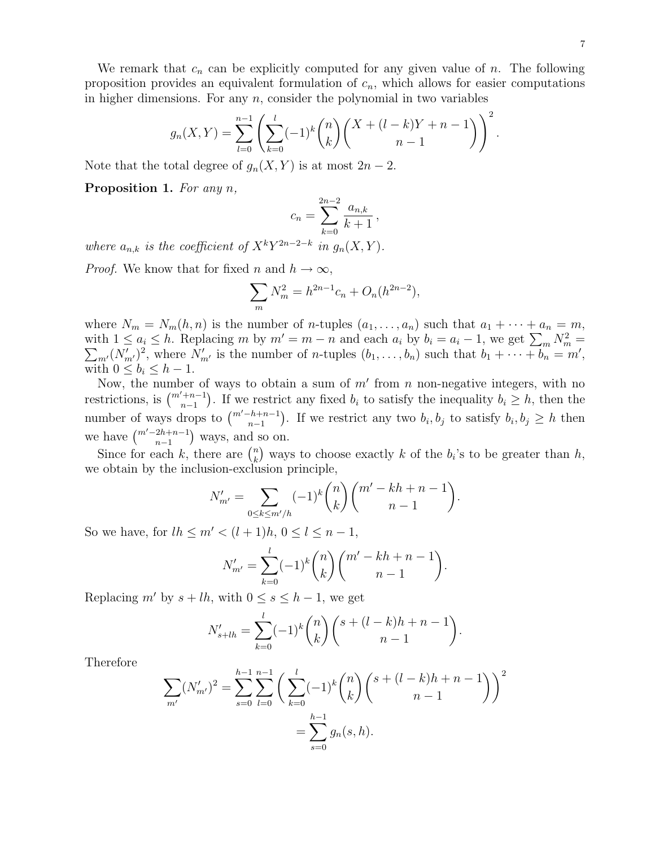We remark that  $c_n$  can be explicitly computed for any given value of n. The following proposition provides an equivalent formulation of  $c_n$ , which allows for easier computations in higher dimensions. For any  $n$ , consider the polynomial in two variables

$$
g_n(X,Y) = \sum_{l=0}^{n-1} \left( \sum_{k=0}^l (-1)^k \binom{n}{k} \binom{X+(l-k)Y+n-1}{n-1} \right)^2.
$$

Note that the total degree of  $g_n(X, Y)$  is at most  $2n - 2$ .

Proposition 1. For any n,

$$
c_n = \sum_{k=0}^{2n-2} \frac{a_{n,k}}{k+1},
$$

where  $a_{n,k}$  is the coefficient of  $X^k Y^{2n-2-k}$  in  $g_n(X, Y)$ .

*Proof.* We know that for fixed n and  $h \to \infty$ ,

$$
\sum_{m} N_m^2 = h^{2n-1} c_n + O_n(h^{2n-2}),
$$

where  $N_m = N_m(h, n)$  is the number of *n*-tuples  $(a_1, \ldots, a_n)$  such that  $a_1 + \cdots + a_n = m$ , with  $1 \le a_i \le h$ . Replacing m by  $m' = m - n$  and each  $a_i$  by  $b_i = a_i - 1$ , we get  $\sum_m N_m^2 = \sum_{m'} (N'_{m'})^2$ , where  $N'_{m'}$  is the number of n-tuples  $(b_1, \ldots, b_n)$  such that  $b_1 + \cdots + b_n = m'$ ,  $\lambda_{m'}(N'_{m'})^2$ , where  $N'_{m'}$  is the number of *n*-tuples  $(b_1, \ldots, b_n)$  such that  $b_1 + \cdots + b_n = m'$ , with  $0 \leq b_i \leq h-1$ .

Now, the number of ways to obtain a sum of  $m'$  from n non-negative integers, with no restrictions, is  $\binom{m'+n-1}{n-1}$ . If we restrict any fixed  $b_i$  to satisfy the inequality  $b_i \geq h$ , then the number of ways drops to  $\binom{m'-h+n-1}{n-1}$ . If we restrict any two  $b_i, b_j$  to satisfy  $b_i, b_j \geq h$  then we have  $\binom{m'-2h+n-1}{n-1}$  ways, and so on.

Since for each k, there are  $\binom{n}{k}$  $\binom{n}{k}$  ways to choose exactly k of the  $b_i$ 's to be greater than h, we obtain by the inclusion-exclusion principle,

$$
N'_{m'} = \sum_{0 \le k \le m'/h} (-1)^k \binom{n}{k} \binom{m'-kh+n-1}{n-1}.
$$

So we have, for  $lh \le m' < (l+1)h, 0 \le l \le n-1$ ,

$$
N'_{m'} = \sum_{k=0}^{l} (-1)^k {n \choose k} {m' - kh + n - 1 \choose n-1}.
$$

Replacing m' by  $s + lh$ , with  $0 \le s \le h - 1$ , we get

$$
N'_{s+lh} = \sum_{k=0}^{l} (-1)^k {n \choose k} {s + (l-k)h + n - 1 \choose n-1}.
$$

Therefore

$$
\sum_{m'} (N'_{m'})^2 = \sum_{s=0}^{h-1} \sum_{l=0}^{n-1} \left( \sum_{k=0}^l (-1)^k \binom{n}{k} \binom{s+(l-k)h+n-1}{n-1} \right)^2
$$

$$
= \sum_{s=0}^{h-1} g_n(s,h).
$$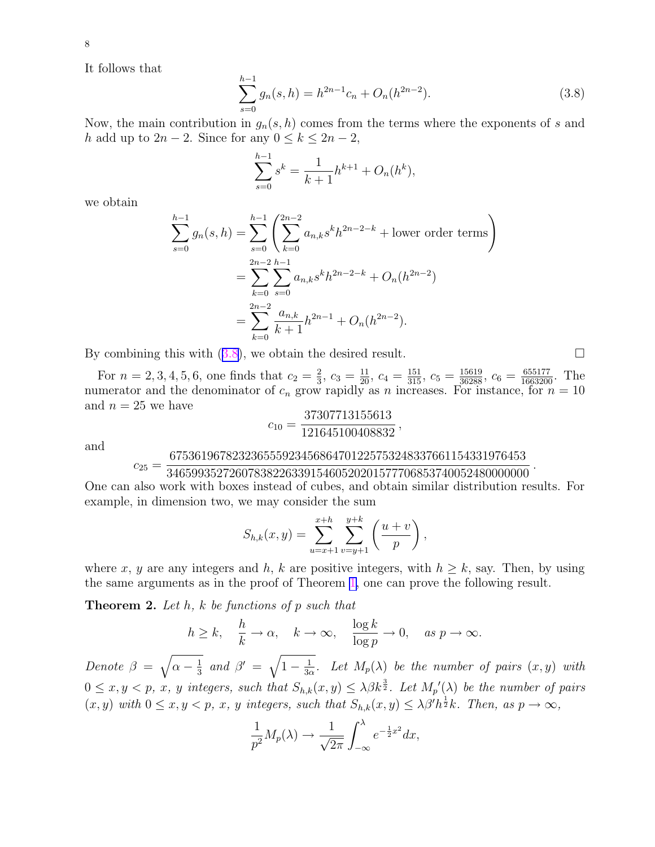<span id="page-7-0"></span>8

It follows that

$$
\sum_{s=0}^{h-1} g_n(s, h) = h^{2n-1} c_n + O_n(h^{2n-2}).
$$
\n(3.8)

Now, the main contribution in  $g_n(s, h)$  comes from the terms where the exponents of s and h add up to  $2n-2$ . Since for any  $0 \le k \le 2n-2$ ,

$$
\sum_{s=0}^{h-1} s^k = \frac{1}{k+1} h^{k+1} + O_n(h^k),
$$

we obtain

$$
\sum_{s=0}^{h-1} g_n(s, h) = \sum_{s=0}^{h-1} \left( \sum_{k=0}^{2n-2} a_{n,k} s^k h^{2n-2-k} + \text{lower order terms} \right)
$$
  
= 
$$
\sum_{k=0}^{2n-2} \sum_{s=0}^{h-1} a_{n,k} s^k h^{2n-2-k} + O_n(h^{2n-2})
$$
  
= 
$$
\sum_{k=0}^{2n-2} \frac{a_{n,k}}{k+1} h^{2n-1} + O_n(h^{2n-2}).
$$

By combining this with  $(3.8)$ , we obtain the desired result.  $\Box$ 

For  $n = 2, 3, 4, 5, 6$ , one finds that  $c_2 = \frac{2}{3}$  $\frac{2}{3}$ ,  $c_3 = \frac{11}{20}$ ,  $c_4 = \frac{151}{315}$ ,  $c_5 = \frac{15619}{36288}$ ,  $c_6 = \frac{655177}{1663200}$ . The numerator and the denominator of  $c_n$  grow rapidly as n increases. For instance, for  $n = 10$ and  $n = 25$  we have 37307713155613

$$
c_{10} = \frac{37307713155613}{121645100408832},
$$

and

#### $c_{25} =$ 675361967823236555923456864701225753248337661154331976453

3465993527260783822633915460520201577706853740052480000000 One can also work with boxes instead of cubes, and obtain similar distribution results. For example, in dimension two, we may consider the sum

$$
S_{h,k}(x,y) = \sum_{u=x+1}^{x+h} \sum_{v=y+1}^{y+k} \left( \frac{u+v}{p} \right),
$$

where x, y are any integers and h, k are positive integers, with  $h \geq k$ , say. Then, by using the same arguments as in the proof of Theorem [1,](#page-4-0) one can prove the following result.

**Theorem 2.** Let h, k be functions of p such that

$$
h \ge k, \quad \frac{h}{k} \to \alpha, \quad k \to \infty, \quad \frac{\log k}{\log p} \to 0, \quad \text{as } p \to \infty.
$$

Denote  $\beta = \sqrt{\alpha - \frac{1}{3}}$  $\frac{1}{3}$  and  $\beta' = \sqrt{1 - \frac{1}{3c}}$  $\frac{1}{3\alpha}$ . Let  $M_p(\lambda)$  be the number of pairs  $(x, y)$  with  $0 \le x, y < p$ , x, y integers, such that  $S_{h,k}(x, y) \le \lambda \beta k^{\frac{3}{2}}$ . Let  $M_p(\lambda)$  be the number of pairs  $(x, y)$  with  $0 \le x, y < p, x$ , y integers, such that  $S_{h,k}(x, y) \le \lambda \beta^l h^{\frac{1}{2}} k$ . Then, as  $p \to \infty$ ,

$$
\frac{1}{p^2}M_p(\lambda) \to \frac{1}{\sqrt{2\pi}} \int_{-\infty}^{\lambda} e^{-\frac{1}{2}x^2} dx,
$$

.